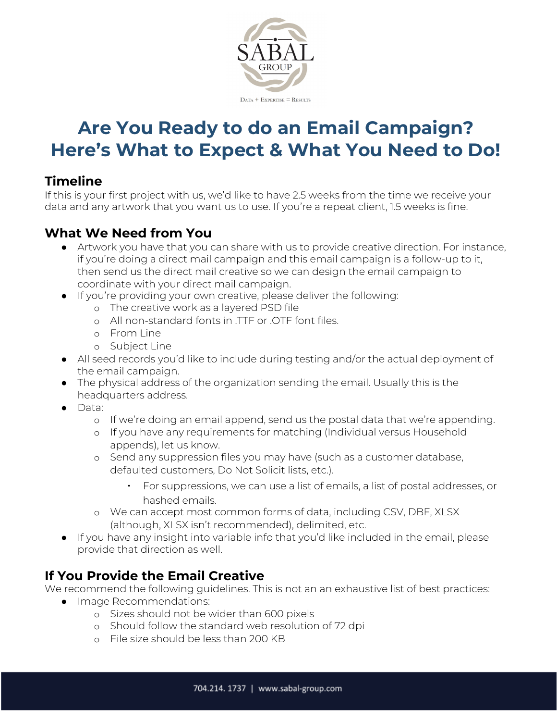

# **Are You Ready to do an Email Campaign? Here's What to Expect & What You Need to Do!**

#### **Timeline**

If this is your first project with us, we'd like to have 2.5 weeks from the time we receive your data and any artwork that you want us to use. If you're a repeat client, 1.5 weeks is fine.

## **What We Need from You**

- Artwork you have that you can share with us to provide creative direction. For instance, if you're doing a direct mail campaign and this email campaign is a follow-up to it, then send us the direct mail creative so we can design the email campaign to coordinate with your direct mail campaign.
- If you're providing your own creative, please deliver the following:
	- o The creative work as a layered PSD file
	- o All non-standard fonts in .TTF or .OTF font files.
	- o From Line
	- o Subject Line
- All seed records you'd like to include during testing and/or the actual deployment of the email campaign.
- The physical address of the organization sending the email. Usually this is the headquarters address.
- Data:
	- o If we're doing an email append, send us the postal data that we're appending.
	- o If you have any requirements for matching (Individual versus Household appends), let us know.
	- o Send any suppression files you may have (such as a customer database, defaulted customers, Do Not Solicit lists, etc.).
		- For suppressions, we can use a list of emails, a list of postal addresses, or hashed emails.
	- o We can accept most common forms of data, including CSV, DBF, XLSX (although, XLSX isn't recommended), delimited, etc.
- If you have any insight into variable info that you'd like included in the email, please provide that direction as well.

## **If You Provide the Email Creative**

We recommend the following guidelines. This is not an an exhaustive list of best practices:

- Image Recommendations:
	- o Sizes should not be wider than 600 pixels
	- o Should follow the standard web resolution of 72 dpi
	- o File size should be less than 200 KB